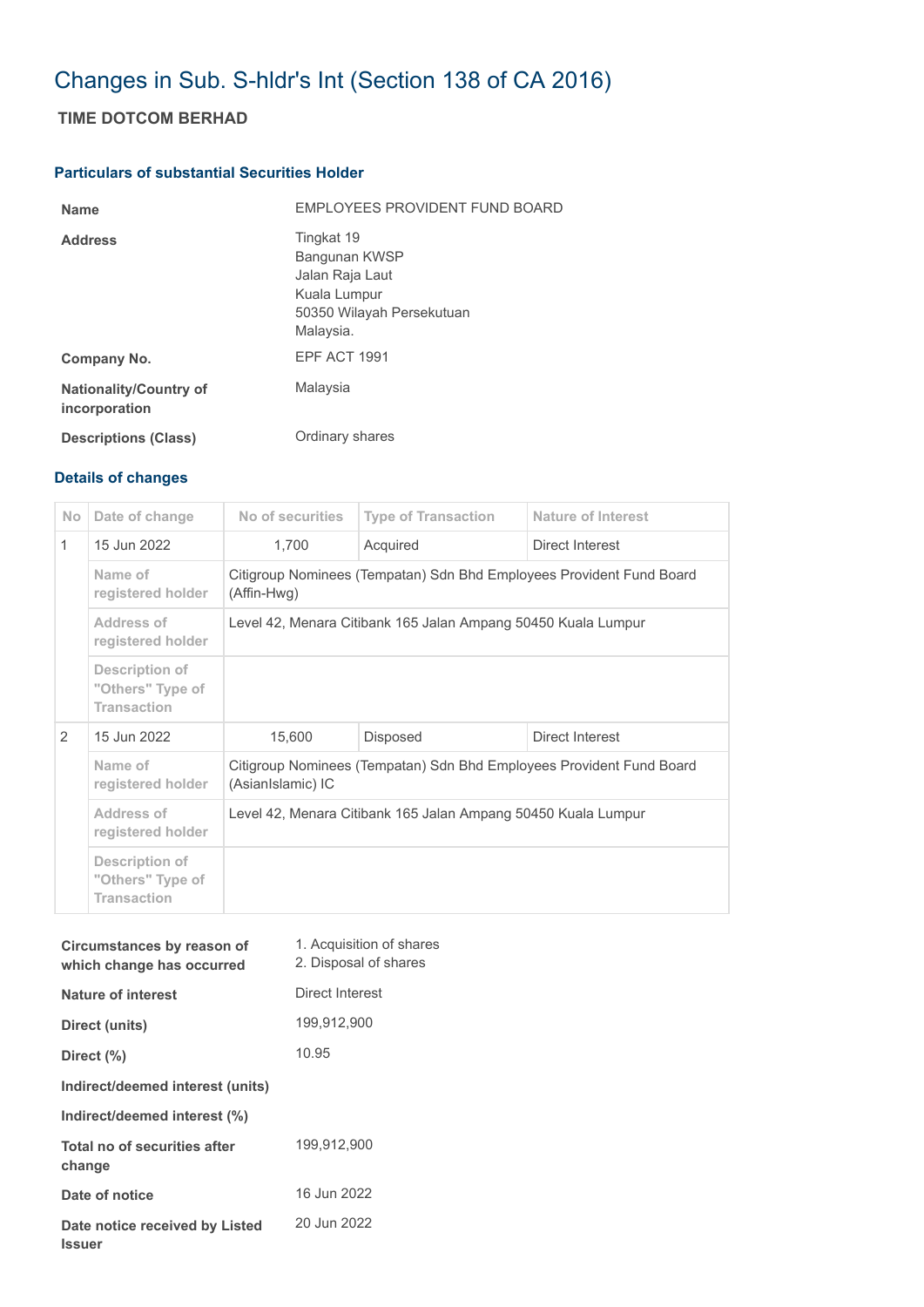## Changes in Sub. S-hldr's Int (Section 138 of CA 2016)

## **TIME DOTCOM BERHAD**

## **Particulars of substantial Securities Holder**

| <b>Name</b>                                    | EMPLOYEES PROVIDENT FUND BOARD                                                                           |
|------------------------------------------------|----------------------------------------------------------------------------------------------------------|
| <b>Address</b>                                 | Tingkat 19<br>Bangunan KWSP<br>Jalan Raja Laut<br>Kuala Lumpur<br>50350 Wilayah Persekutuan<br>Malaysia. |
| Company No.                                    | EPF ACT 1991                                                                                             |
| <b>Nationality/Country of</b><br>incorporation | Malaysia                                                                                                 |
| <b>Descriptions (Class)</b>                    | Ordinary shares                                                                                          |

## **Details of changes**

| No.           | Date of change                                           | No of securities                                                                          | <b>Type of Transaction</b> | Nature of Interest |  |  |
|---------------|----------------------------------------------------------|-------------------------------------------------------------------------------------------|----------------------------|--------------------|--|--|
| $\mathbf{1}$  | 15 Jun 2022                                              | 1,700                                                                                     | Acquired                   | Direct Interest    |  |  |
|               | Name of<br>registered holder                             | Citigroup Nominees (Tempatan) Sdn Bhd Employees Provident Fund Board<br>(Affin-Hwg)       |                            |                    |  |  |
|               | Address of<br>registered holder                          | Level 42, Menara Citibank 165 Jalan Ampang 50450 Kuala Lumpur                             |                            |                    |  |  |
|               | Description of<br>"Others" Type of<br><b>Transaction</b> |                                                                                           |                            |                    |  |  |
| $\mathcal{P}$ | 15 Jun 2022                                              | 15,600                                                                                    | <b>Disposed</b>            | Direct Interest    |  |  |
|               | Name of<br>registered holder                             | Citigroup Nominees (Tempatan) Sdn Bhd Employees Provident Fund Board<br>(AsianIslamic) IC |                            |                    |  |  |
|               | Address of<br>registered holder                          | Level 42, Menara Citibank 165 Jalan Ampang 50450 Kuala Lumpur                             |                            |                    |  |  |
|               | Description of<br>"Others" Type of<br><b>Transaction</b> |                                                                                           |                            |                    |  |  |

| Circumstances by reason of<br>which change has occurred | 1. Acquisition of shares<br>2. Disposal of shares |
|---------------------------------------------------------|---------------------------------------------------|
| Nature of interest                                      | Direct Interest                                   |
| Direct (units)                                          | 199,912,900                                       |
| Direct (%)                                              | 10.95                                             |
| Indirect/deemed interest (units)                        |                                                   |
| Indirect/deemed interest (%)                            |                                                   |
| Total no of securities after<br>change                  | 199,912,900                                       |
| Date of notice                                          | 16 Jun 2022                                       |
| Date notice received by Listed<br><b>Issuer</b>         | 20 Jun 2022                                       |